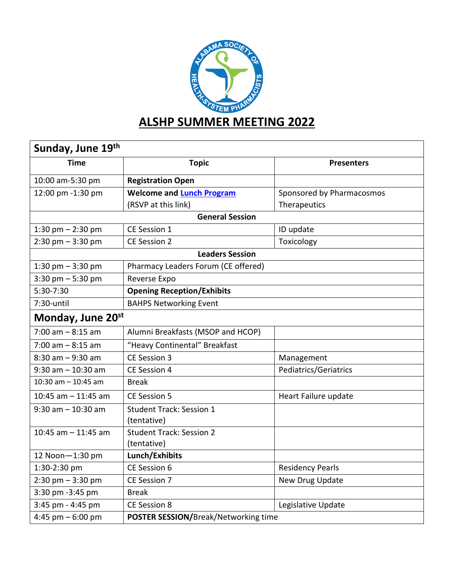

| Sunday, June 19 <sup>th</sup> |                                      |                           |  |
|-------------------------------|--------------------------------------|---------------------------|--|
| <b>Time</b>                   | <b>Topic</b>                         | <b>Presenters</b>         |  |
| 10:00 am-5:30 pm              | <b>Registration Open</b>             |                           |  |
| 12:00 pm -1:30 pm             | <b>Welcome and Lunch Program</b>     | Sponsored by Pharmacosmos |  |
|                               | (RSVP at this link)                  | Therapeutics              |  |
| <b>General Session</b>        |                                      |                           |  |
| 1:30 pm $-$ 2:30 pm           | CE Session 1                         | ID update                 |  |
| $2:30$ pm $-3:30$ pm          | CE Session 2                         | Toxicology                |  |
| <b>Leaders Session</b>        |                                      |                           |  |
| 1:30 pm $-$ 3:30 pm           | Pharmacy Leaders Forum (CE offered)  |                           |  |
| $3:30$ pm $-5:30$ pm          | Reverse Expo                         |                           |  |
| 5:30-7:30                     | <b>Opening Reception/Exhibits</b>    |                           |  |
| 7:30-until                    | <b>BAHPS Networking Event</b>        |                           |  |
| Monday, June 20st             |                                      |                           |  |
| $7:00$ am $-8:15$ am          | Alumni Breakfasts (MSOP and HCOP)    |                           |  |
| $7:00$ am $-8:15$ am          | "Heavy Continental" Breakfast        |                           |  |
| $8:30$ am $-9:30$ am          | CE Session 3                         | Management                |  |
| $9:30$ am $-10:30$ am         | CE Session 4                         | Pediatrics/Geriatrics     |  |
| 10:30 am $-$ 10:45 am         | <b>Break</b>                         |                           |  |
| 10:45 am $-$ 11:45 am         | CE Session 5                         | Heart Failure update      |  |
| $9:30$ am $-10:30$ am         | <b>Student Track: Session 1</b>      |                           |  |
|                               | (tentative)                          |                           |  |
| 10:45 am $-$ 11:45 am         | <b>Student Track: Session 2</b>      |                           |  |
|                               | (tentative)                          |                           |  |
| 12 Noon-1:30 pm               | Lunch/Exhibits                       |                           |  |
| 1:30-2:30 pm                  | CE Session 6                         | <b>Residency Pearls</b>   |  |
| $2:30$ pm $-3:30$ pm          | CE Session 7                         | New Drug Update           |  |
| 3:30 pm -3:45 pm              | <b>Break</b>                         |                           |  |
| 3:45 pm - 4:45 pm             | <b>CE Session 8</b>                  | Legislative Update        |  |
| 4:45 pm $-6:00$ pm            | POSTER SESSION/Break/Networking time |                           |  |